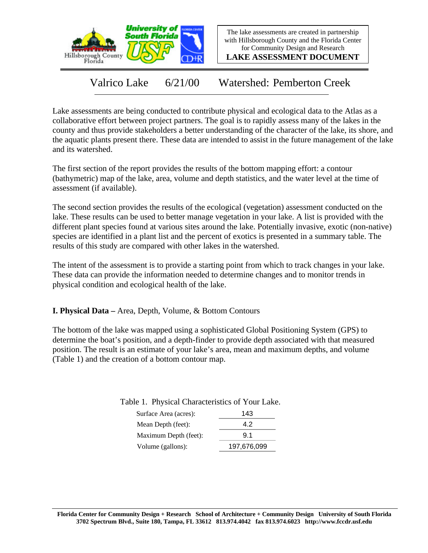

The lake assessments are created in partnership with Hillsborough County and the Florida Center for Community Design and Research

**LAKE ASSESSMENT DOCUMENT**

Valrico Lake 6/21/00 Watershed: Pemberton Creek

Lake assessments are being conducted to contribute physical and ecological data to the Atlas as a collaborative effort between project partners. The goal is to rapidly assess many of the lakes in the county and thus provide stakeholders a better understanding of the character of the lake, its shore, and the aquatic plants present there. These data are intended to assist in the future management of the lake and its watershed.

The first section of the report provides the results of the bottom mapping effort: a contour (bathymetric) map of the lake, area, volume and depth statistics, and the water level at the time of assessment (if available).

The second section provides the results of the ecological (vegetation) assessment conducted on the lake. These results can be used to better manage vegetation in your lake. A list is provided with the different plant species found at various sites around the lake. Potentially invasive, exotic (non-native) species are identified in a plant list and the percent of exotics is presented in a summary table. The results of this study are compared with other lakes in the watershed.

The intent of the assessment is to provide a starting point from which to track changes in your lake. These data can provide the information needed to determine changes and to monitor trends in physical condition and ecological health of the lake.

**I. Physical Data –** Area, Depth, Volume, & Bottom Contours

The bottom of the lake was mapped using a sophisticated Global Positioning System (GPS) to determine the boat's position, and a depth-finder to provide depth associated with that measured position. The result is an estimate of your lake's area, mean and maximum depths, and volume (Table 1) and the creation of a bottom contour map.

> Surface Area (acres): 143 Mean Depth (feet): 4.2 Table 1. Physical Characteristics of Your Lake.

| ічсан Берш (тест).            | 4.Z    |
|-------------------------------|--------|
| Maximum Depth (feet):         | 9.1    |
| Volume (gallons) <sup>.</sup> | 197676 |

Volume (gallons): 197,676,099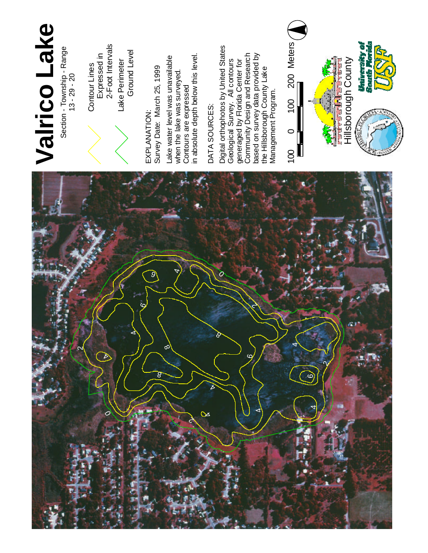

L a k e

Perimeter Ground L e v el

E X P L A N ATIO N : S u r v e y Date: March 25, 1999 La k e water level was u n a v aila ble when the lake w a s surveyed. Contours a r e expressed in absolute depth below this level.

# D AT A SOURCES:

Digit al orthophotos b y U nit e d **States** G e olo gic al Survey. All contours generaged b y Flo rid a Center for com m u nit y Design a n d **Research** b a s e d o n s u r v e y d a t a provided b y t h e Hillsborough County L a k e Management Program.



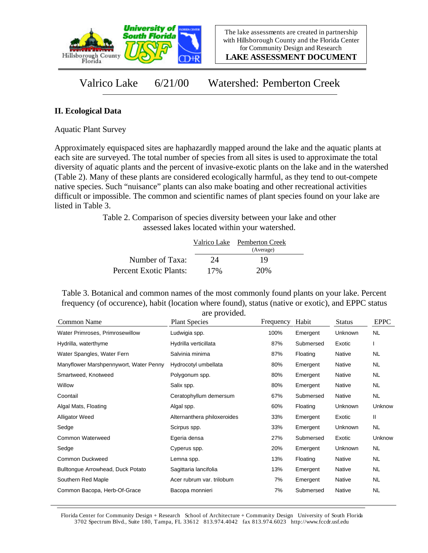

**LAKE ASSESSMENT DOCUMENT**

## Valrico Lake 6/21/00 Watershed: Pemberton Creek

### **II. Ecological Data**

Aquatic Plant Survey

Approximately equispaced sites are haphazardly mapped around the lake and the aquatic plants at each site are surveyed. The total number of species from all sites is used to approximate the total diversity of aquatic plants and the percent of invasive-exotic plants on the lake and in the watershed (Table 2). Many of these plants are considered ecologically harmful, as they tend to out-compete native species. Such "nuisance" plants can also make boating and other recreational activities difficult or impossible. The common and scientific names of plant species found on your lake are listed in Table 3.

> Table 2. Comparison of species diversity between your lake and other assessed lakes located within your watershed.

|                        |     | Valrico Lake Pemberton Creek |
|------------------------|-----|------------------------------|
|                        |     | (Average)                    |
| Number of Taxa:        | 24  | 19                           |
| Percent Exotic Plants: | 17% | 20%                          |

Table 3. Botanical and common names of the most commonly found plants on your lake. Percent frequency (of occurence), habit (location where found), status (native or exotic), and EPPC status are provided.

| Common Name                            | are provided.<br><b>Plant Species</b> | Frequency | Habit     | <b>Status</b>  | <b>EPPC</b> |
|----------------------------------------|---------------------------------------|-----------|-----------|----------------|-------------|
| Water Primroses, Primrosewillow        | Ludwigia spp.                         | 100%      | Emergent  | <b>Unknown</b> | NL          |
| Hydrilla, waterthyme                   | Hydrilla verticillata                 | 87%       | Submersed | Exotic         |             |
| Water Spangles, Water Fern             | Salvinia minima                       | 87%       | Floating  | Native         | NL          |
| Manyflower Marshpennywort, Water Penny | Hydrocotyl umbellata                  | 80%       | Emergent  | Native         | <b>NL</b>   |
| Smartweed, Knotweed                    | Polygonum spp.                        | 80%       | Emergent  | Native         | NL          |
| Willow                                 | Salix spp.                            | 80%       | Emergent  | Native         | <b>NL</b>   |
| Coontail                               | Ceratophyllum demersum                | 67%       | Submersed | Native         | <b>NL</b>   |
| Algal Mats, Floating                   | Algal spp.                            | 60%       | Floating  | Unknown        | Unknow      |
| <b>Alligator Weed</b>                  | Alternanthera philoxeroides           | 33%       | Emergent  | Exotic         | Ш           |
| Sedge                                  | Scirpus spp.                          | 33%       | Emergent  | Unknown        | <b>NL</b>   |
| Common Waterweed                       | Egeria densa                          | 27%       | Submersed | Exotic         | Unknow      |
| Sedge                                  | Cyperus spp.                          | 20%       | Emergent  | Unknown        | NL          |
| Common Duckweed                        | Lemna spp.                            | 13%       | Floating  | Native         | NL          |
| Bulltongue Arrowhead, Duck Potato      | Sagittaria lancifolia                 | 13%       | Emergent  | Native         | NL          |
| Southern Red Maple                     | Acer rubrum var. trilobum             | 7%        | Emergent  | Native         | NL          |
| Common Bacopa, Herb-Of-Grace           | Bacopa monnieri                       | 7%        | Submersed | Native         | NL          |

Florida Center for Community Design + Research School of Architecture + Community Design University of South Florida 3702 Spectrum Blvd., Suite 180, Tampa, FL 33612 813.974.4042 fax 813.974.6023 http://www.fccdr.usf.edu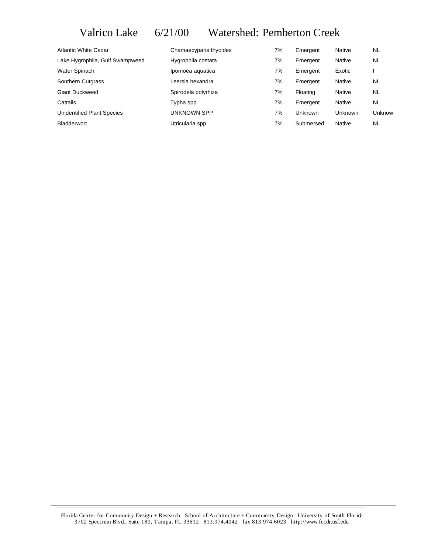# Valrico Lake 6/21/00 Watershed: Pemberton Creek

| <b>Atlantic White Cedar</b>       | Chamaecyparis thyoides | 7% | Emergent  | Native         | <b>NL</b> |
|-----------------------------------|------------------------|----|-----------|----------------|-----------|
| Lake Hygrophila, Gulf Swampweed   | Hygrophila costata     | 7% | Emergent  | Native         | <b>NL</b> |
| Water Spinach                     | Ipomoea aquatica       | 7% | Emergent  | Exotic         |           |
| Southern Cutgrass                 | Leersia hexandra       | 7% | Emergent  | Native         | NL        |
| <b>Giant Duckweed</b>             | Spirodela polyrhiza    | 7% | Floating  | Native         | <b>NL</b> |
| Cattails                          | Typha spp.             | 7% | Emergent  | Native         | NL        |
| <b>Unidentified Plant Species</b> | <b>UNKNOWN SPP</b>     | 7% | Unknown   | <b>Unknown</b> | Unknow    |
| <b>Bladderwort</b>                | Utricularia spp.       | 7% | Submersed | Native         | NL        |

Florida Center for Community Design + Research School of Architecture + Community Design University of South Florida 3702 Spectrum Blvd., Suite 180, Tampa, FL 33612 813.974.4042 fax 813.974.6023 http://www.fccdr.usf.edu